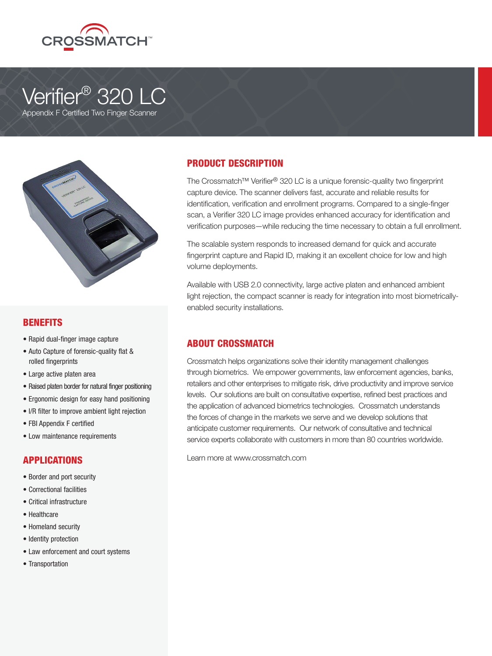

# Verifier<sup>®</sup> 320 LC





## BENEFITS

- Rapid dual-finger image capture
- Auto Capture of forensic-quality flat & rolled fingerprints
- Large active platen area
- Raised platen border for natural finger positioning
- Ergonomic design for easy hand positioning
- I/R filter to improve ambient light rejection
- FBI Appendix F certified
- Low maintenance requirements

## APPLICATIONS

- Border and port security
- Correctional facilities
- Critical infrastructure
- Healthcare
- Homeland security
- Identity protection
- Law enforcement and court systems
- Transportation

## PRODUCT DESCRIPTION

The Crossmatch™ Verifier® 320 LC is a unique forensic-quality two fingerprint capture device. The scanner delivers fast, accurate and reliable results for identification, verification and enrollment programs. Compared to a single-finger scan, a Verifier 320 LC image provides enhanced accuracy for identification and verification purposes—while reducing the time necessary to obtain a full enrollment.

The scalable system responds to increased demand for quick and accurate fingerprint capture and Rapid ID, making it an excellent choice for low and high volume deployments.

Available with USB 2.0 connectivity, large active platen and enhanced ambient light rejection, the compact scanner is ready for integration into most biometricallyenabled security installations.

## ABOUT CROSSMATCH

Crossmatch helps organizations solve their identity management challenges through biometrics. We empower governments, law enforcement agencies, banks, retailers and other enterprises to mitigate risk, drive productivity and improve service levels. Our solutions are built on consultative expertise, refined best practices and the application of advanced biometrics technologies. Crossmatch understands the forces of change in the markets we serve and we develop solutions that anticipate customer requirements. Our network of consultative and technical service experts collaborate with customers in more than 80 countries worldwide.

Learn more at www.crossmatch.com